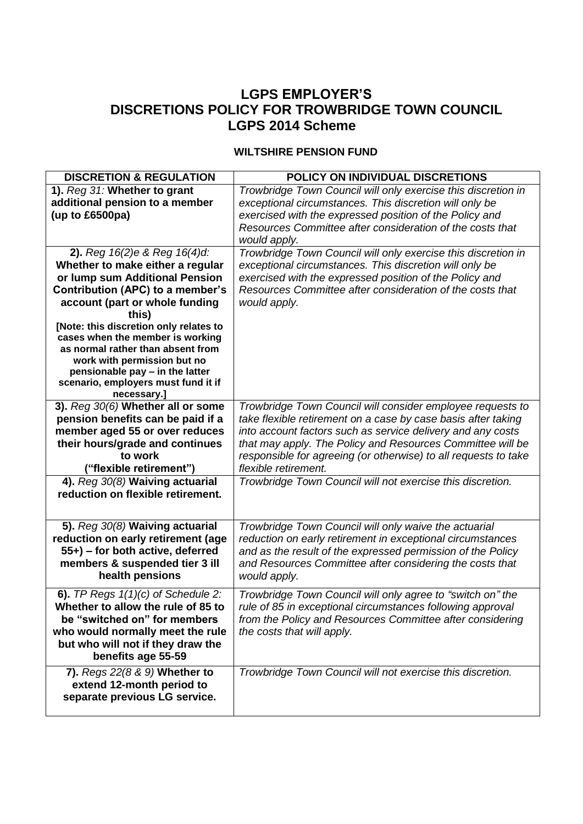## **LGPS EMPLOYER'S DISCRETIONS POLICY FOR TROWBRIDGE TOWN COUNCIL LGPS 2014 Scheme**

## **WILTSHIRE PENSION FUND**

| <b>DISCRETION &amp; REGULATION</b>                                                                                                                                                                                                                                                                                                                                                                                                 | <b>POLICY ON INDIVIDUAL DISCRETIONS</b>                                                                                                                                                                                                                                                                                                             |
|------------------------------------------------------------------------------------------------------------------------------------------------------------------------------------------------------------------------------------------------------------------------------------------------------------------------------------------------------------------------------------------------------------------------------------|-----------------------------------------------------------------------------------------------------------------------------------------------------------------------------------------------------------------------------------------------------------------------------------------------------------------------------------------------------|
| 1). Reg 31: Whether to grant<br>additional pension to a member<br>(up to $£6500pa$ )                                                                                                                                                                                                                                                                                                                                               | Trowbridge Town Council will only exercise this discretion in<br>exceptional circumstances. This discretion will only be<br>exercised with the expressed position of the Policy and<br>Resources Committee after consideration of the costs that<br>would apply.                                                                                    |
| 2). Reg $16(2)$ e & Reg $16(4)$ d:<br>Whether to make either a regular<br>or lump sum Additional Pension<br>Contribution (APC) to a member's<br>account (part or whole funding<br>this)<br>[Note: this discretion only relates to<br>cases when the member is working<br>as normal rather than absent from<br>work with permission but no<br>pensionable pay - in the latter<br>scenario, employers must fund it if<br>necessary.] | Trowbridge Town Council will only exercise this discretion in<br>exceptional circumstances. This discretion will only be<br>exercised with the expressed position of the Policy and<br>Resources Committee after consideration of the costs that<br>would apply.                                                                                    |
| 3). Reg 30(6) Whether all or some<br>pension benefits can be paid if a<br>member aged 55 or over reduces<br>their hours/grade and continues<br>to work<br>("flexible retirement")                                                                                                                                                                                                                                                  | Trowbridge Town Council will consider employee requests to<br>take flexible retirement on a case by case basis after taking<br>into account factors such as service delivery and any costs<br>that may apply. The Policy and Resources Committee will be<br>responsible for agreeing (or otherwise) to all requests to take<br>flexible retirement. |
| 4). Reg 30(8) Waiving actuarial<br>reduction on flexible retirement.                                                                                                                                                                                                                                                                                                                                                               | Trowbridge Town Council will not exercise this discretion.                                                                                                                                                                                                                                                                                          |
| 5). Reg 30(8) Waiving actuarial<br>reduction on early retirement (age<br>55+) – for both active, deferred<br>members & suspended tier 3 ill<br>health pensions                                                                                                                                                                                                                                                                     | Trowbridge Town Council will only waive the actuarial<br>reduction on early retirement in exceptional circumstances<br>and as the result of the expressed permission of the Policy<br>and Resources Committee after considering the costs that<br>would apply.                                                                                      |
| 6). TP Regs $1(1)(c)$ of Schedule 2:<br>Whether to allow the rule of 85 to<br>be "switched on" for members<br>who would normally meet the rule<br>but who will not if they draw the<br>benefits age 55-59                                                                                                                                                                                                                          | Trowbridge Town Council will only agree to "switch on" the<br>rule of 85 in exceptional circumstances following approval<br>from the Policy and Resources Committee after considering<br>the costs that will apply.                                                                                                                                 |
| 7). Regs 22(8 & 9) Whether to<br>extend 12-month period to<br>separate previous LG service.                                                                                                                                                                                                                                                                                                                                        | Trowbridge Town Council will not exercise this discretion.                                                                                                                                                                                                                                                                                          |